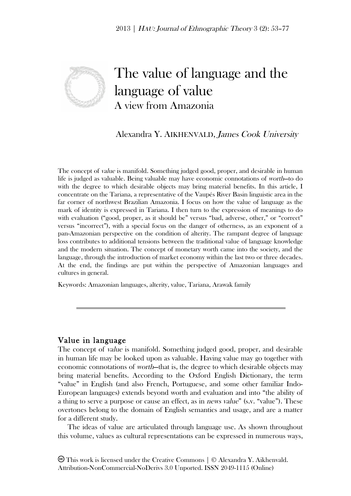

# The value of language and the language of value A view from Amazonia

# Alexandra Y. AIKHENVALD, James Cook University

The concept of *value* is manifold. Something judged good, proper, and desirable in human life is judged as valuable. Being valuable may have economic connotations of worth—to do with the degree to which desirable objects may bring material benefits. In this article, I concentrate on the Tariana, a representative of the Vaupés River Basin linguistic area in the far corner of northwest Brazilian Amazonia. I focus on how the value of language as the mark of identity is expressed in Tariana. I then turn to the expression of meanings to do with evaluation ("good, proper, as it should be" versus "bad, adverse, other," or "correct" versus "incorrect"), with a special focus on the danger of otherness, as an exponent of a pan-Amazonian perspective on the condition of alterity. The rampant degree of language loss contributes to additional tensions between the traditional value of language knowledge and the modern situation. The concept of monetary worth came into the society, and the language, through the introduction of market economy within the last two or three decades. At the end, the findings are put within the perspective of Amazonian languages and cultures in general.

Keywords: Amazonian languages, alterity, value, Tariana, Arawak family

## Value in language

The concept of value is manifold. Something judged good, proper, and desirable in human life may be looked upon as valuable. Having value may go together with economic connotations of worth—that is, the degree to which desirable objects may bring material benefits. According to the Oxford English Dictionary, the term "value" in English (and also French, Portuguese, and some other familiar Indo-European languages) extends beyond worth and evaluation and into "the ability of a thing to serve a purpose or cause an effect, as in news value" (s.v. "value"). These overtones belong to the domain of English semantics and usage, and are a matter for a different study.

The ideas of value are articulated through language use. As shown throughout this volume, values as cultural representations can be expressed in numerous ways,

This work is licensed under the Creative Commons | © Alexandra Y. Aikhenvald. Attribution-NonCommercial-NoDerivs 3.0 Unported. ISSN 2049-1115 (Online)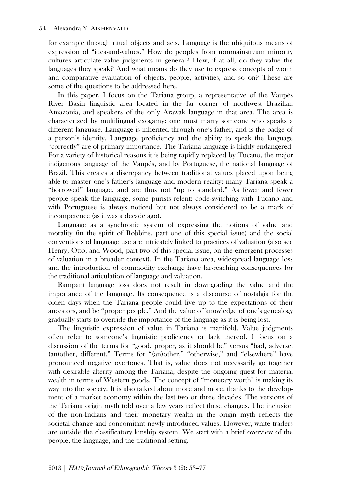for example through ritual objects and acts. Language is the ubiquitous means of expression of "idea-and-values." How do peoples from nonmainstream minority cultures articulate value judgments in general? How, if at all, do they value the languages they speak? And what means do they use to express concepts of worth and comparative evaluation of objects, people, activities, and so on? These are some of the questions to be addressed here.

In this paper, I focus on the Tariana group, a representative of the Vaupés River Basin linguistic area located in the far corner of northwest Brazilian Amazonia, and speakers of the only Arawak language in that area. The area is characterized by multilingual exogamy: one must marry someone who speaks a different language. Language is inherited through one's father, and is the badge of a person's identity. Language proficiency and the ability to speak the language "correctly" are of primary importance. The Tariana language is highly endangered. For a variety of historical reasons it is being rapidly replaced by Tucano, the major indigenous language of the Vaupés, and by Portuguese, the national language of Brazil. This creates a discrepancy between traditional values placed upon being able to master one's father's language and modern reality: many Tariana speak a "borrowed" language, and are thus not "up to standard." As fewer and fewer people speak the language, some purists relent: code-switching with Tucano and with Portuguese is always noticed but not always considered to be a mark of incompetence (as it was a decade ago).

Language as a synchronic system of expressing the notions of value and morality (in the spirit of Robbins, part one of this special issue) and the social conventions of language use are intricately linked to practices of valuation (also see Henry, Otto, and Wood, part two of this special issue, on the emergent processes of valuation in a broader context). In the Tariana area, widespread language loss and the introduction of commodity exchange have far-reaching consequences for the traditional articulation of language and valuation.

Rampant language loss does not result in downgrading the value and the importance of the language. Its consequence is a discourse of nostalgia for the olden days when the Tariana people could live up to the expectations of their ancestors, and be "proper people." And the value of knowledge of one's genealogy gradually starts to override the importance of the language as it is being lost.

The linguistic expression of value in Tariana is manifold. Value judgments often refer to someone's linguistic proficiency or lack thereof. I focus on a discussion of the terms for "good, proper, as it should be" versus "bad, adverse, (an)other, different." Terms for "(an)other," "otherwise," and "elsewhere" have pronounced negative overtones. That is, value does not necessarily go together with desirable alterity among the Tariana, despite the ongoing quest for material wealth in terms of Western goods. The concept of "monetary worth" is making its way into the society. It is also talked about more and more, thanks to the development of a market economy within the last two or three decades. The versions of the Tariana origin myth told over a few years reflect these changes. The inclusion of the non-Indians and their monetary wealth in the origin myth reflects the societal change and concomitant newly introduced values. However, white traders are outside the classificatory kinship system. We start with a brief overview of the people, the language, and the traditional setting.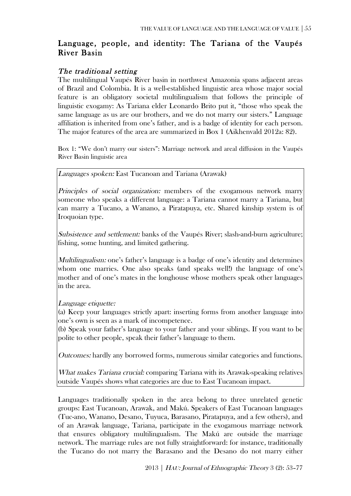## Language, people, and identity: The Tariana of the Vaupés River Basin

## The traditional setting

The multilingual Vaupés River basin in northwest Amazonia spans adjacent areas of Brazil and Colombia. It is a well-established linguistic area whose major social feature is an obligatory societal multilingualism that follows the principle of linguistic exogamy: As Tariana elder Leonardo Brito put it, "those who speak the same language as us are our brothers, and we do not marry our sisters." Language affiliation is inherited from one's father, and is a badge of identity for each person. The major features of the area are summarized in Box 1 (Aikhenvald 2012a: 82).

Box 1: "We don't marry our sisters": Marriage network and areal diffusion in the Vaupés River Basin linguistic area

Languages spoken: East Tucanoan and Tariana (Arawak)

Principles of social organization: members of the exogamous network marry someone who speaks a different language: a Tariana cannot marry a Tariana, but can marry a Tucano, a Wanano, a Piratapuya, etc. Shared kinship system is of Iroquoian type.

Subsistence and settlement: banks of the Vaupés River; slash-and-burn agriculture; fishing, some hunting, and limited gathering.

Multilingualism: one's father's language is a badge of one's identity and determines whom one marries. One also speaks (and speaks well!) the language of one's mother and of one's mates in the longhouse whose mothers speak other languages in the area.

Language etiquette:

(a) Keep your languages strictly apart: inserting forms from another language into one's own is seen as a mark of incompetence.

(b) Speak your father's language to your father and your siblings. If you want to be polite to other people, speak their father's language to them.

Outcomes: hardly any borrowed forms, numerous similar categories and functions.

What makes Tariana crucial: comparing Tariana with its Arawak-speaking relatives outside Vaupés shows what categories are due to East Tucanoan impact.

Languages traditionally spoken in the area belong to three unrelated genetic groups: East Tucanoan, Arawak, and Makú. Speakers of East Tucanoan languages (Tuc-ano, Wanano, Desano, Tuyuca, Barasano, Piratapuya, and a few others), and of an Arawak language, Tariana, participate in the exogamous marriage network that ensures obligatory multilingualism. The Makú are outside the marriage network. The marriage rules are not fully straightforward: for instance, traditionally the Tucano do not marry the Barasano and the Desano do not marry either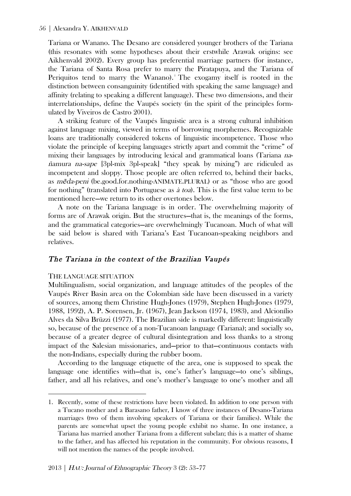Tariana or Wanano. The Desano are considered younger brothers of the Tariana (this resonates with some hypotheses about their erstwhile Arawak origins: see Aikhenvald 2002). Every group has preferential marriage partners (for instance, the Tariana of Santa Rosa prefer to marry the Piratapuya, and the Tariana of Periquitos tend to marry the Wanano). The exogamy itself is rooted in the distinction between consanguinity (identified with speaking the same language) and affinity (relating to speaking a different language). These two dimensions, and their interrelationships, define the Vaupés society (in the spirit of the principles formulated by Viveiros de Castro 2001).

A striking feature of the Vaupés linguistic area is a strong cultural inhibition against language mixing, viewed in terms of borrowing morphemes. Recognizable loans are traditionally considered tokens of linguistic incompetence. Those who violate the principle of keeping languages strictly apart and commit the "crime" of mixing their languages by introducing lexical and grammatical loans (Tariana nañamura na-sape [3pl-mix 3pl-speak] "they speak by mixing") are ridiculed as incompetent and sloppy. Those people are often referred to, behind their backs, as *meda-peni* (be.good.for.nothing-ANIMATE.PLURAL) or as "those who are good for nothing" (translated into Portuguese as à toa). This is the first value term to be mentioned here—we return to its other overtones below.

A note on the Tariana language is in order. The overwhelming majority of forms are of Arawak origin. But the structures—that is, the meanings of the forms, and the grammatical categories—are overwhelmingly Tucanoan. Much of what will be said below is shared with Tariana's East Tucanoan-speaking neighbors and relatives.

## The Tariana in the context of the Brazilian Vaupés

#### THE LANGUAGE SITUATION

 $\overline{a}$ 

Multilingualism, social organization, and language attitudes of the peoples of the Vaupés River Basin area on the Colombian side have been discussed in a variety of sources, among them Christine Hugh-Jones (1979), Stephen Hugh-Jones (1979, 1988, 1992), A. P. Sorensen, Jr. (1967), Jean Jackson (1974, 1983), and Alcionílio Alves da Silva Brüzzi (1977). The Brazilian side is markedly different: linguistically so, because of the presence of a non-Tucanoan language (Tariana); and socially so, because of a greater degree of cultural disintegration and loss thanks to a strong impact of the Salesian missionaries, and—prior to that—continuous contacts with the non-Indians, especially during the rubber boom.

According to the language etiquette of the area, one is supposed to speak the language one identifies with—that is, one's father's language—to one's siblings, father, and all his relatives, and one's mother's language to one's mother and all

<sup>1.</sup> Recently, some of these restrictions have been violated. In addition to one person with a Tucano mother and a Barasano father, I know of three instances of Desano-Tariana marriages (two of them involving speakers of Tariana or their families). While the parents are somewhat upset the young people exhibit no shame. In one instance, a Tariana has married another Tariana from a different subclan; this is a matter of shame to the father, and has affected his reputation in the community. For obvious reasons, I will not mention the names of the people involved.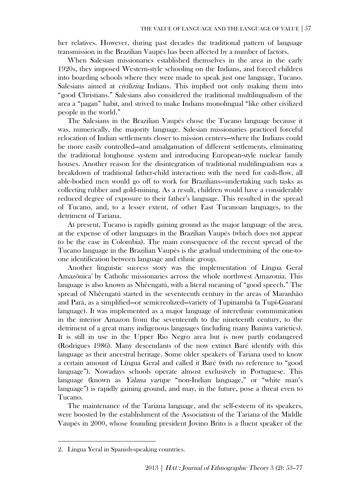her relatives. However, during past decades the traditional pattern of language transmission in the Brazilian Vaupés has been affected by a number of factors.

When Salesian missionaries established themselves in the area in the early 1920s, they imposed Western-style schooling on the Indians, and forced children into boarding schools where they were made to speak just one language, Tucano. Salesians aimed at civilizing Indians. This implied not only making them into "good Christians." Salesians also considered the traditional multilingualism of the area a "pagan" habit, and strived to make Indians monolingual "like other civilized people in the world."

The Salesians in the Brazilian Vaupés chose the Tucano language because it was, numerically, the majority language. Salesian missionaries practiced forceful relocation of Indian settlements closer to mission centers—where the Indians could be more easily controlled—and amalgamation of different settlements, eliminating the traditional longhouse system and introducing European-style nuclear family houses. Another reason for the disintegration of traditional multilingualism was a breakdown of traditional father-child interaction: with the need for cash-flow, all able-bodied men would go off to work for Brazilians—undertaking such tasks as collecting rubber and gold-mining. As a result, children would have a considerably reduced degree of exposure to their father's language. This resulted in the spread of Tucano, and, to a lesser extent, of other East Tucanoan languages, to the detriment of Tariana.

At present, Tucano is rapidly gaining ground as the major language of the area, at the expense of other languages in the Brazilian Vaupés (which does not appear to be the case in Colombia). The main consequence of the recent spread of the Tucano language in the Brazilian Vaupés is the gradual undermining of the one-toone identification between language and ethnic group.

Another linguistic success story was the implementation of Língua Geral Amazônica<sup>2</sup> by Catholic missionaries across the whole northwest Amazonia. This language is also known as Nhêengatú, with a literal meaning of "good speech." The spread of Nhêengatú started in the seventeenth century in the areas of Maranhão and Pará, as a simplified—or semicreolized—variety of Tupinambá (a Tupí-Guaraní language). It was implemented as a major language of interethnic communication in the interior Amazon from the seventeenth to the nineteenth century, to the detriment of a great many indigenous languages (including many Baniwa varieties). It is still in use in the Upper Rio Negro area but is now partly endangered (Rodrigues 1986). Many descendants of the now extinct Baré identify with this language as their ancestral heritage. Some older speakers of Tariana used to know a certain amount of Língua Geral and called it Baré (with no reference to "good language"). Nowadays schools operate almost exclusively in Portuguese. This language (known as Yalana yarupe "non-Indian language," or "white man's language") is rapidly gaining ground, and may, in the future, pose a threat even to Tucano.

The maintenance of the Tariana language, and the self-esteem of its speakers, were boosted by the establishment of the Association of the Tariana of the Middle Vaupés in 2000, whose founding president Jovino Brito is a fluent speaker of the

<sup>2.</sup> Lingua Yeral in Spanish-speaking countries.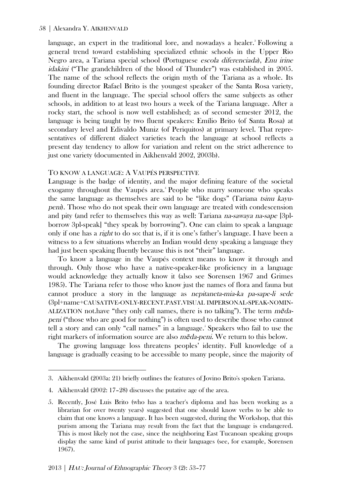language, an expert in the traditional lore, and nowadays a healer.<sup>8</sup> Following a general trend toward establishing specialized ethnic schools in the Upper Rio Negro area, a Tariana special school (Portuguese escola diferenciada), Enu irine idakini ("The grandchildren of the blood of Thunder") was established in 2005. The name of the school reflects the origin myth of the Tariana as a whole. Its founding director Rafael Brito is the youngest speaker of the Santa Rosa variety, and fluent in the language. The special school offers the same subjects as other schools, in addition to at least two hours a week of the Tariana language. After a rocky start, the school is now well established; as of second semester 2012, the language is being taught by two fluent speakers: Emílio Brito (of Santa Rosa) at secondary level and Edivaldo Muniz (of Periquitos) at primary level. That representatives of different dialect varieties teach the language at school reflects a present day tendency to allow for variation and relent on the strict adherence to just one variety (documented in Aikhenvald 2002, 2003b).

#### TO KNOW A LANGUAGE: A VAUPÉS PERSPECTIVE

Language is the badge of identity, and the major defining feature of the societal exogamy throughout the Vaupés area.<sup>4</sup> People who marry someone who speaks the same language as themselves are said to be "like dogs" (Tariana tsinu kayupeni). Those who do not speak their own language are treated with condescension and pity (and refer to themselves this way as well: Tariana na-sawaya na-sape [3plborrow 3pl-speak] "they speak by borrowing"). One can claim to speak a language only if one has a right to do so: that is, if it is one's father's language. I have been a witness to a few situations whereby an Indian would deny speaking a language they had just been speaking fluently because this is not "their" language.

To know a language in the Vaupés context means to know it through and through. Only those who have a native-speaker-like proficiency in a language would acknowledge they actually know it (also see Sorensen 1967 and Grimes 1985). The Tariana refer to those who know just the names of flora and fauna but cannot produce a story in the language as nepitaneta-mia-ka pa-sape-li sede (3pl+name+CAUSATIVE-ONLY-RECENT.PAST.VISUAL IMPERSONAL-SPEAK-NOMIN-ALIZATION not have "they only call names, there is no talking"). The term  $m\tilde{\textbf{e}}$ dapeni ("those who are good for nothing") is often used to describe those who cannot tell a story and can only "call names" in a language.<sup>5</sup> Speakers who fail to use the right markers of information source are also  $m\tilde{\epsilon}da$ -peni. We return to this below.

The growing language loss threatens peoples' identity. Full knowledge of a language is gradually ceasing to be accessible to many people, since the majority of

<sup>3.</sup> Aikhenvald (2003a: 21) briefly outlines the features of Jovino Brito's spoken Tariana.

<sup>4.</sup> Aikhenvald (2002: 17–28) discusses the putative age of the area.

<sup>5.</sup> Recently, José Luis Brito (who has a teacher's diploma and has been working as a librarian for over twenty years) suggested that one should know verbs to be able to claim that one knows a language. It has been suggested, during the Workshop, that this purism among the Tariana may result from the fact that the language is endangered. This is most likely not the case, since the neighboring East Tucanoan speaking groups display the same kind of purist attitude to their languages (see, for example, Sorensen 1967).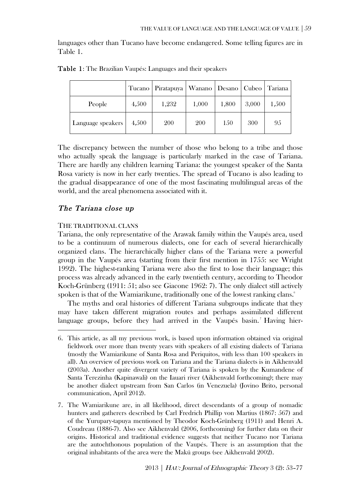languages other than Tucano have become endangered. Some telling figures are in Table 1.

|                   |       | Tucano   Piratapuya   Wanano   Desano   Cubeo   Tariana |       |       |       |       |
|-------------------|-------|---------------------------------------------------------|-------|-------|-------|-------|
| People            | 4.500 | 1,232                                                   | 1,000 | 1,800 | 3,000 | 1,500 |
| Language speakers | 4.500 | 200                                                     | 200   | 150   | 300   | 95    |

Table 1: The Brazilian Vaupés: Languages and their speakers

The discrepancy between the number of those who belong to a tribe and those who actually speak the language is particularly marked in the case of Tariana. There are hardly any children learning Tariana: the youngest speaker of the Santa Rosa variety is now in her early twenties. The spread of Tucano is also leading to the gradual disappearance of one of the most fascinating multilingual areas of the world, and the areal phenomena associated with it.

#### The Tariana close up

#### THE TRADITIONAL CLANS

 $\overline{a}$ 

Tariana, the only representative of the Arawak family within the Vaupés area, used to be a continuum of numerous dialects, one for each of several hierarchically organized clans. The hierarchically higher clans of the Tariana were a powerful group in the Vaupés area (starting from their first mention in 1755: see Wright 1992). The highest-ranking Tariana were also the first to lose their language; this process was already advanced in the early twentieth century, according to Theodor Koch-Grünberg (1911: 51; also see Giacone 1962: 7). The only dialect still actively spoken is that of the Wamiarikune, traditionally one of the lowest ranking clans.<sup>6</sup>

The myths and oral histories of different Tariana subgroups indicate that they may have taken different migration routes and perhaps assimilated different language groups, before they had arrived in the Vaupés basin.<sup>7</sup> Having hier-

<sup>6.</sup> This article, as all my previous work, is based upon information obtained via original fieldwork over more than twenty years with speakers of all existing dialects of Tariana (mostly the Wamiarikune of Santa Rosa and Periquitos, with less than 100 speakers in all). An overview of previous work on Tariana and the Tariana dialects is in Aikhenvald (2003a). Another quite divergent variety of Tariana is spoken by the Kumandene of Santa Terezinha (Kapinawali) on the Iauari river (Aikhenvald forthcoming); there may be another dialect upstream from San Carlos (in Venezuela) (Jovino Brito, personal communication, April 2012).

<sup>7.</sup> The Wamiarikune are, in all likelihood, direct descendants of a group of nomadic hunters and gatherers described by Carl Fredrich Phillip von Martius (1867: 567) and of the Yurupary-tapuya mentioned by Theodor Koch-Grünberg (1911) and Henri A. Coudreau (1886-7). Also see Aikhenvald (2006, forthcoming) for further data on their origins. Historical and traditional evidence suggests that neither Tucano nor Tariana are the autochthonous population of the Vaupés. There is an assumption that the original inhabitants of the area were the Makú groups (see Aikhenvald 2002).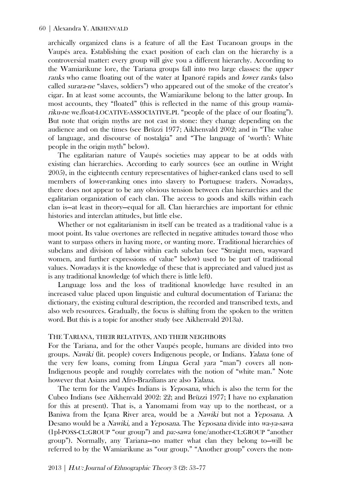archically organized clans is a feature of all the East Tucanoan groups in the Vaupés area. Establishing the exact position of each clan on the hierarchy is a controversial matter: every group will give you a different hierarchy. According to the Wamiarikune lore, the Tariana groups fall into two large classes: the upper ranks who came floating out of the water at Ipanoré rapids and lower ranks (also called surara-ne "slaves, soldiers") who appeared out of the smoke of the creator's cigar. In at least some accounts, the Wamiarikune belong to the latter group. In most accounts, they "floated" (this is reflected in the name of this group wamiariku-ne we.float-LOCATIVE-ASSOCIATIVE.PL "people of the place of our floating"). But note that origin myths are not cast in stone: they change depending on the audience and on the times (see Brüzzi 1977; Aikhenvald 2002; and in "The value of language, and discourse of nostalgia" and "The language of 'worth': White people in the origin myth" below).

The egalitarian nature of Vaupés societies may appear to be at odds with existing clan hierarchies. According to early sources (see an outline in Wright 2005), in the eighteenth century representatives of higher-ranked clans used to sell members of lower-ranking ones into slavery to Portuguese traders. Nowadays, there does not appear to be any obvious tension between clan hierarchies and the egalitarian organization of each clan. The access to goods and skills within each clan is—at least in theory—equal for all. Clan hierarchies are important for ethnic histories and interclan attitudes, but little else.

Whether or not egalitarianism in itself can be treated as a traditional value is a moot point. Its value overtones are reflected in negative attitudes toward those who want to surpass others in having more, or wanting more. Traditional hierarchies of subclans and division of labor within each subclan (see "Straight men, wayward women, and further expressions of value" below) used to be part of traditional values. Nowadays it is the knowledge of these that is appreciated and valued just as is any traditional knowledge (of which there is little left).

Language loss and the loss of traditional knowledge have resulted in an increased value placed upon linguistic and cultural documentation of Tariana: the dictionary, the existing cultural description, the recorded and transcribed texts, and also web resources. Gradually, the focus is shifting from the spoken to the written word. But this is a topic for another study (see Aikhenvald 2013a).

#### THE TARIANA, THEIR RELATIVES, AND THEIR NEIGHBORS

For the Tariana, and for the other Vaupés people, humans are divided into two groups. Nawiki (lit. people) covers Indigenous people, or Indians. Yalana (one of the very few loans, coming from Língua Geral yara "man") covers all non-Indigenous people and roughly correlates with the notion of "white man." Note however that Asians and Afro-Brazilians are also Yalana.

The term for the Vaupés Indians is Yeposana, which is also the term for the Cubeo Indians (see Aikhenvald 2002: 22; and Brüzzi 1977; I have no explanation for this at present). That is, a Yanomami from way up to the northeast, or a Baniwa from the Içana River area, would be a Nawiki but not a Yeposana. A Desano would be a Nawiki, and a Yeposana. The Yeposana divide into wa-ya-sawa (1pl-POSS-CL:GROUP "our group") and pa:-sawa (one/another-CL:GROUP "another group"). Normally, any Tariana—no matter what clan they belong to—will be referred to by the Wamiarikune as "our group." "Another group" covers the non-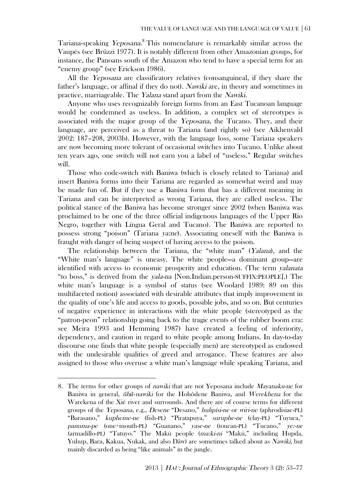Tariana-speaking *Yeposana.*<sup>8</sup> This nomenclature is remarkably similar across the Vaupés (see Brüzzi 1977). It is notably different from other Amazonian groups, for instance, the Panoans south of the Amazon who tend to have a special term for an "enemy group" (see Erickson 1986).

All the Yeposana are classificatory relatives (consanguineal, if they share the father's language, or affinal if they do not). Nawiki are, in theory and sometimes in practice, marriageable. The Yalana stand apart from the Nawiki.

Anyone who uses recognizably foreign forms from an East Tucanoan language would be condemned as useless. In addition, a complex set of stereotypes is associated with the major group of the Yeposana, the Tucano. They, and their language, are perceived as a threat to Tariana (and rightly so) (see Aikhenvald 2002: 187–208, 2003b). However, with the language loss, some Tariana speakers are now becoming more tolerant of occasional switches into Tucano. Unlike about ten years ago, one switch will not earn you a label of "useless." Regular switches will.

Those who code-switch with Baniwa (which is closely related to Tariana) and insert Baniwa forms into their Tariana are regarded as somewhat weird and may be made fun of. But if they use a Baniwa form that has a different meaning in Tariana and can be interpreted as wrong Tariana, they are called useless. The political stance of the Baniwa has become stronger since 2002 (when Baniwa was proclaimed to be one of the three official indigenous languages of the Upper Rio Negro, together with Língua Geral and Tucano). The Baniwa are reported to possess strong "poison" (Tariana ya:ne). Associating oneself with the Baniwa is fraught with danger of being suspect of having access to the poison.

The relationship between the Tariana, the "white man" (Yalana), and the "White man's language" is uneasy. The white people—a dominant group—are identified with access to economic prosperity and education. (The term yalanata "to boss," is derived from the yala-na [Non.Indian.person-SUFFIX:PEOPLE].) The white man's language is a symbol of status (see Woolard 1989: 89 on this multifaceted notion) associated with desirable attributes that imply improvement in the quality of one's life and access to goods, possible jobs, and so on. But centuries of negative experience in interactions with the white people (stereotyped as the "patron-peon" relationship going back to the tragic events of the rubber boom era: see Meira 1993 and Hemming 1987) have created a feeling of inferiority, dependency, and caution in regard to white people among Indians. In day-to-day discourse one finds that white people (especially men) are stereotyped as endowed with the undesirable qualities of greed and arrogance. These features are also assigned to those who overuse a white man's language while speaking Tariana, and

<sup>8.</sup> The terms for other groups of nawiki that are not Yeposana include Mayanaku-ne for Baniwa in general, *ūhū-nawiki* for the Hohôdene Baniwa, and Werekhena for the Warekena of the Xié river and surrounds. And there are of course terms for different groups of the Yeposana, e.g., Desene "Desano," hulipísi-ne or wiri-ne (aphrodisiac-PL) "Barasano," kupheme-ne (fish-PL) "Piratapuya," suruphe-ne (clay-PL) "Tuyuca," panuma-pe (one+mouth-PL) "Guanano," yase-ne (toucan-PL) "Tucano," ye:-ne (armadillo-PL) "Tatuyo." The Makú people (ma:ki-ni "Makú," including Hupda, Yuhup, Bara, Kakua, Nukak, and also Dâw) are sometimes talked about as Nawiki, but mainly discarded as being "like animals" in the jungle.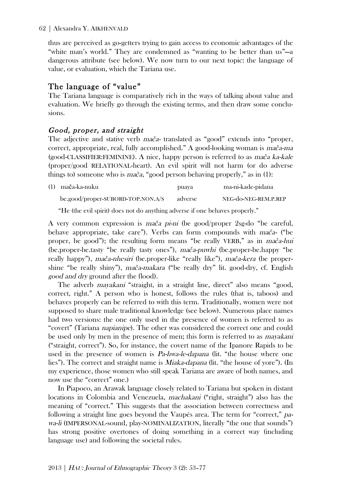thus are perceived as go-getters trying to gain access to economic advantages of the "white man's world." They are condemned as "wanting to be better than us"—a dangerous attribute (see below). We now turn to our next topic: the language of value, or evaluation, which the Tariana use.

## The language of "value"

The Tariana language is comparatively rich in the ways of talking about value and evaluation. We briefly go through the existing terms, and then draw some conclusions.

## Good, proper, and straight

The adjective and stative verb ma*č*a- translated as "good" extends into "proper, correct, appropriate, real, fully accomplished." A good-looking woman is ma*č*a-ma (good-CLASSIFIER:FEMININE). A nice, happy person is referred to as ma*č*a ka-kale (proper/good RELATIONAL-heart). An evil spirit will not harm (or do adverse things to) someone who is ma*č*a, "good person behaving properly," as in (1):

| (1) mača-ka-nuku                      | puaya   | ma-ni-kade-pidana    |
|---------------------------------------|---------|----------------------|
| $be. good/proper-SUBORD-TOP. NON.A/S$ | adverse | NEG-do-NEG-REM.P.REP |

"He (the evil spirit) does not do anything adverse if one behaves properly."

A very common expression is ma*č*a pi-ni (be good/proper 2sg-do "be careful, behave appropriate, take care"). Verbs can form compounds with ma*č*a- ("be proper, be good"); the resulting form means "be really VERB," as in ma*č*a-hui (be.proper-be.tasty "be really tasty ones"), ma*č*a-puwhi (be.proper-be.happy "be really happy"), ma*č*a-nhesiri (be.proper-like "really like"), ma*č*a-kera (be propershine "be really shiny"), ma*č*a-makara ("be really dry" lit. good-dry, cf. English good and dry ground after the flood).

The adverb *mayakani* "straight, in a straight line, direct" also means "good, correct, right." A person who is honest, follows the rules (that is, taboos) and behaves properly can be referred to with this term. Traditionally, women were not supposed to share male traditional knowledge (see below). Numerous place names had two versions: the one only used in the presence of women is referred to as "covert" (Tariana napianipe). The other was considered the correct one and could be used only by men in the presence of men; this form is referred to as *mayakani* ("straight, correct"). So, for instance, the covert name of the Ipanore Rapids to be used in the presence of women is *Pa-hwa-le-dapana* (lit. "the house where one lies"). The correct and straight name is Miaka-dapana (lit. "the house of yore"). (In my experience, those women who still speak Tariana are aware of both names, and now use the "correct" one.)

In Piapoco, an Arawak language closely related to Tariana but spoken in distant locations in Colombia and Venezuela, machakani ("right, straight") also has the meaning of "correct." This suggests that the association between correctness and following a straight line goes beyond the Vaupés area. The term for "correct," pawa-li (IMPERSONAL-sound, play-NOMINALIZATION, literally "the one that sounds") has strong positive overtones of doing something in a correct way (including language use) and following the societal rules.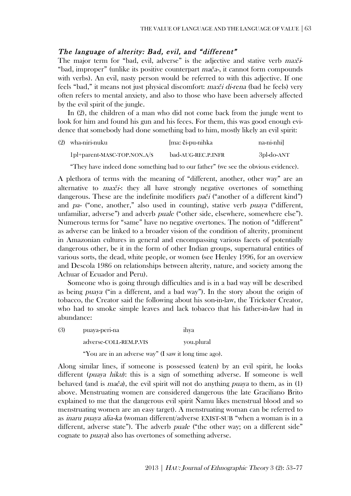#### The language of alterity: Bad, evil, and "different"

The major term for "bad, evil, adverse" is the adjective and stative verb ma:*č*i- "bad, improper" (unlike its positive counterpart ma*č*a-, it cannot form compounds with verbs). An evil, nasty person would be referred to with this adjective. If one feels "bad," it means not just physical discomfort: ma:*č*i di-rena (bad he feels) very often refers to mental anxiety, and also to those who have been adversely affected by the evil spirit of the jungle.

In (2), the children of a man who did not come back from the jungle went to look for him and found his gun and his feces. For them, this was good enough evidence that somebody had done something bad to him, mostly likely an evil spirit:

| (2) wha-niri-nuku                     | [ma: či-pu-nihka   | na-ni-nhil |
|---------------------------------------|--------------------|------------|
| $1\text{pl}$ +parent-MASC-TOP.NON.A/S | bad-AUG-REC.P.INFR | 3pl-do-ANT |

"They have indeed done something bad to our father" (we see the obvious evidence).

A plethora of terms with the meaning of "different, another, other way" are an alternative to ma:*č*i-: they all have strongly negative overtones of something dangerous. These are the indefinite modifiers pa*č*<sup>i</sup> ("another of a different kind") and pa- ("one, another," also used in counting), stative verb puaya ("different, unfamiliar, adverse") and adverb *puale* ("other side, elsewhere, somewhere else"). Numerous terms for "same" have no negative overtones. The notion of "different" as adverse can be linked to a broader vision of the condition of alterity, prominent in Amazonian cultures in general and encompassing various facets of potentially dangerous other, be it in the form of other Indian groups, supernatural entities of various sorts, the dead, white people, or women (see Henley 1996, for an overview and Descola 1986 on relationships between alterity, nature, and society among the Achuar of Ecuador and Peru).

Someone who is going through difficulties and is in a bad way will be described as being puaya ("in a different, and a bad way"). In the story about the origin of tobacco, the Creator said the following about his son-in-law, the Trickster Creator, who had to smoke simple leaves and lack tobacco that his father-in-law had in abundance:

| (3) | puaya-peri-na                                         | ihva       |
|-----|-------------------------------------------------------|------------|
|     | adverse-COLL-REM.P.VIS                                | you.plural |
|     | "You are in an adverse way" (I saw it long time ago). |            |

Along similar lines, if someone is possessed (eaten) by an evil spirit, he looks different (*puaya hiku*): this is a sign of something adverse. If someone is well behaved (and is ma*č*a), the evil spirit will not do anything puaya to them, as in (1) above. Menstruating women are considered dangerous (the late Graciliano Brito explained to me that the dangerous evil spirit Ñamu likes menstrual blood and so menstruating women are an easy target). A menstruating woman can be referred to as inaru puaya alia-ka (woman different/adverse EXIST-SUB "when a woman is in a different, adverse state"). The adverb *puale* ("the other way; on a different side" cognate to puaya) also has overtones of something adverse.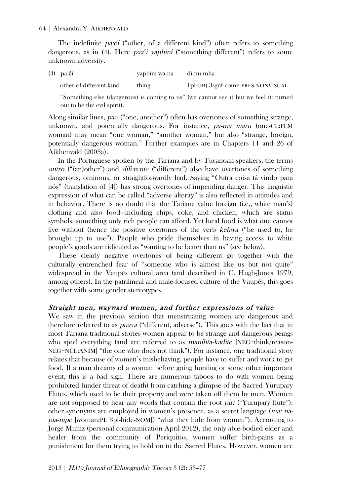The indefinite pa:*č*<sup>i</sup> ("other, of a different kind") often refers to something dangerous, as in (4). Here pa:*č*i yaphini ("something different") refers to some unknown adversity.

| $(4)$ pa: $\check{c}$ i | yaphini wa-na | di-nu-mha                         |
|-------------------------|---------------|-----------------------------------|
| other.of.different.kind | thing         | 1pl-OBJ 3sgnf-come-PRES.NONVISUAL |

"Something else (dangerous) is coming to us" (we cannot see it but we feel it: turned out to be the evil spirit).

Along similar lines, pa:- ("one, another") often has overtones of something strange, unknown, and potentially dangerous. For instance, pa-ma inaru (one-CL:FEM woman) may mean "one woman," "another woman," but also "strange, foreign, potentially dangerous woman." Further examples are in Chapters 11 and 26 of Aikhenvald (2003a).

In the Portuguese spoken by the Tariana and by Tucanoan-speakers, the terms outro ("(an)other") and diferente ("different") also have overtones of something dangerous, ominous, or straightforwardly bad. Saying "Outra coisa tá vindo para nós" (translation of [4]) has strong overtones of impending danger. This linguistic expression of what can be called "adverse alterity" is also reflected in attitudes and in behavior. There is no doubt that the Tariana value foreign (i.e., white man's) clothing and also food—including chips, coke, and chicken, which are status symbols, something only rich people can afford. Yet local food is what one cannot live without (hence the positive overtones of the verb kehwa ("be used to, be brought up to use"). People who pride themselves in having access to white people's goods are ridiculed as "wanting to be better than us" (see below).

These clearly negative overtones of being different go together with the culturally entrenched fear of "someone who is almost like us but not quite" widespread in the Vaupés cultural area (and described in C. Hugh-Jones 1979, among others). In the patrilineal and male-focused culture of the Vaupés, this goes together with some gender stereotypes.

## Straight men, wayward women, and further expressions of value

We saw in the previous section that menstruating women are dangerous and therefore referred to as puaya ("different, adverse"). This goes with the fact that in most Tariana traditional stories women appear to be strange and dangerous beings who spoil everything (and are referred to as *manihta-kadite* [NEG+think/reason-NEG+NCL:ANIM] "the one who does not think"). For instance, one traditional story relates that because of women's misbehaving, people have to suffer and work to get food. If a man dreams of a woman before going hunting or some other important event, this is a bad sign. There are numerous taboos to do with women being prohibited (under threat of death) from catching a glimpse of the Sacred Yurupary Flutes, which used to be their property and were taken off them by men. Women are not supposed to hear any words that contain the root piri ("Yurupary flute"): other synonyms are employed in women's presence, as a secret language (ina: napia-nipe [woman:PL 3pl-hide-NOM]) "what they hide from women"). According to Jorge Muniz (personal communication April 2012), the only able-bodied elder and healer from the community of Periquitos, women suffer birth-pains as a punishment for them trying to hold on to the Sacred Flutes. However, women are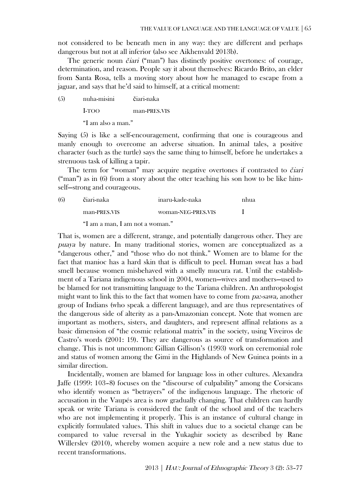not considered to be beneath men in any way: they are different and perhaps dangerous but not at all inferior (also see Aikhenvald 2013b).

The generic noun *č*iari ("man") has distinctly positive overtones: of courage, determination, and reason. People say it about themselves: Ricardo Brito, an elder from Santa Rosa, tells a moving story about how he managed to escape from a jaguar, and says that he'd said to himself, at a critical moment:

(5) nuha-misini čiari-naka I-TOO man-PRES.VIS "I am also a man."

Saying (5) is like a self-encouragement, confirming that one is courageous and manly enough to overcome an adverse situation. In animal tales, a positive character (such as the turtle) says the same thing to himself, before he undertakes a strenuous task of killing a tapir.

The term for "woman" may acquire negative overtones if contrasted to *č*iari ("man") as in (6) from a story about the otter teaching his son how to be like himself—strong and courageous.

| (6) | čiari-naka   | inaru-kade-naka    |  |
|-----|--------------|--------------------|--|
|     | man-PRES.VIS | woman-NEG-PRES.VIS |  |

"I am a man, I am not a woman."

That is, women are a different, strange, and potentially dangerous other. They are puaya by nature. In many traditional stories, women are conceptualized as a "dangerous other," and "those who do not think." Women are to blame for the fact that manioc has a hard skin that is difficult to peel. Human sweat has a bad smell because women misbehaved with a smelly mucura rat. Until the establishment of a Tariana indigenous school in 2004, women—wives and mothers—used to be blamed for not transmitting language to the Tariana children. An anthropologist might want to link this to the fact that women have to come from pa:-sawa, another group of Indians (who speak a different language), and are thus representatives of the dangerous side of alterity as a pan-Amazonian concept. Note that women are important as mothers, sisters, and daughters, and represent affinal relations as a basic dimension of "the cosmic relational matrix" in the society, using Viveiros de Castro's words (2001: 19). They are dangerous as source of transformation and change. This is not uncommon: Gillian Gillison's (1993) work on ceremonial role and status of women among the Gimi in the Highlands of New Guinea points in a similar direction.

Incidentally, women are blamed for language loss in other cultures. Alexandra Jaffe (1999: 103–8) focuses on the "discourse of culpability" among the Corsicans who identify women as "betrayers" of the indigenous language. The rhetoric of accusation in the Vaupés area is now gradually changing. That children can hardly speak or write Tariana is considered the fault of the school and of the teachers who are not implementing it properly. This is an instance of cultural change in explicitly formulated values. This shift in values due to a societal change can be compared to value reversal in the Yukaghir society as described by Rane Willerslev (2010), whereby women acquire a new role and a new status due to recent transformations.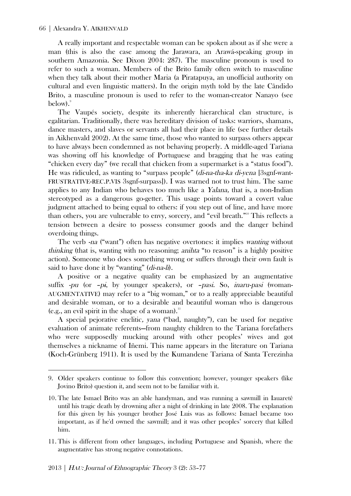A really important and respectable woman can be spoken about as if she were a man (this is also the case among the Jarawara, an Arawá-speaking group in southern Amazonia. See Dixon 2004: 287). The masculine pronoun is used to refer to such a woman. Members of the Brito family often switch to masculine when they talk about their mother Maria (a Piratapuya, an unofficial authority on cultural and even linguistic matters). In the origin myth told by the late Cândido Brito, a masculine pronoun is used to refer to the woman-creator Nanayo (see below).

The Vaupés society, despite its inherently hierarchical clan structure, is egalitarian. Traditionally, there was hereditary division of tasks: warriors, shamans, dance masters, and slaves or servants all had their place in life (see further details in Aikhenvald 2002). At the same time, those who wanted to surpass others appear to have always been condemned as not behaving properly. A middle-aged Tariana was showing off his knowledge of Portuguese and bragging that he was eating "chicken every day" (we recall that chicken from a supermarket is a "status food"). He was ridiculed, as wanting to "surpass people" (di-na-tha-ka di-yena [3sgnf-want-FRUSTRATIVE-REC.P.VIS 3sgnf-surpass]). I was warned not to trust him. The same applies to any Indian who behaves too much like a Yalana, that is, a non-Indian stereotyped as a dangerous go-getter. This usage points toward a covert value judgment attached to being equal to others: if you step out of line, and have more than others, you are vulnerable to envy, sorcery, and "evil breath."<sup>10</sup> This reflects a tension between a desire to possess consumer goods and the danger behind overdoing things.

The verb -na ("want") often has negative overtones: it implies wanting without thinking (that is, wanting with no reasoning; anihta "to reason" is a highly positive action). Someone who does something wrong or suffers through their own fault is said to have done it by "wanting" (*di-na-li*).

A positive or a negative quality can be emphasized by an augmentative suffix  $-pu$  (or  $-pi$ , by younger speakers), or  $-pasi$ . So, *inaru-pasi* (woman-AUGMENTATIVE) may refer to a "big woman," or to a really appreciable beautiful and desirable woman, or to a desirable and beautiful woman who is dangerous (e.g., an evil spirit in the shape of a woman). $\frac{11}{11}$ 

A special pejorative enclitic, yana ("bad, naughty"), can be used for negative evaluation of animate referents—from naughty children to the Tariana forefathers who were supposedly mucking around with other peoples' wives and got themselves a nickname of Iñemi. This name appears in the literature on Tariana (Koch-Grünberg 1911). It is used by the Kumandene Tariana of Santa Terezinha

<sup>9.</sup> Older speakers continue to follow this convention; however, younger speakers (like Jovino Brito) question it, and seem not to be familiar with it.

<sup>10.</sup> The late Ismael Brito was an able handyman, and was running a sawmill in Iauaretê until his tragic death by drowning after a night of drinking in late 2008. The explanation for this given by his younger brother José Luis was as follows: Ismael became too important, as if he'd owned the sawmill; and it was other peoples' sorcery that killed him.

<sup>11.</sup> This is different from other languages, including Portuguese and Spanish, where the augmentative has strong negative connotations.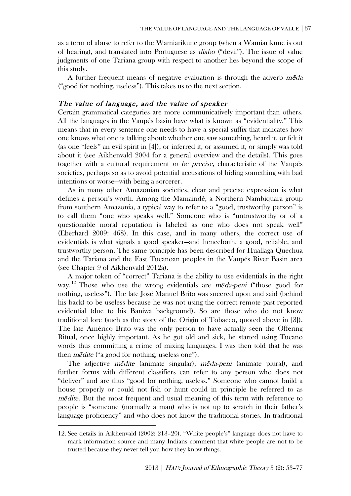as a term of abuse to refer to the Wamiarikune group (when a Wamiarikune is out of hearing), and translated into Portuguese as diabo ("devil"). The issue of value judgments of one Tariana group with respect to another lies beyond the scope of this study.

A further frequent means of negative evaluation is through the adverb  $m\tilde{\epsilon}da$ ("good for nothing, useless"). This takes us to the next section.

## The value of language, and the value of speaker

Certain grammatical categories are more communicatively important than others. All the languages in the Vaupés basin have what is known as "evidentiality." This means that in every sentence one needs to have a special suffix that indicates how one knows what one is talking about: whether one saw something, heard it, or felt it (as one "feels" an evil spirit in [4]), or inferred it, or assumed it, or simply was told about it (see Aikhenvald 2004 for a general overview and the details). This goes together with a cultural requirement to be precise, characteristic of the Vaupés societies, perhaps so as to avoid potential accusations of hiding something with bad intentions or worse—with being a sorcerer.

As in many other Amazonian societies, clear and precise expression is what defines a person's worth. Among the Mamaindê, a Northern Nambiquara group from southern Amazonia, a typical way to refer to a "good, trustworthy person" is to call them "one who speaks well." Someone who is "untrustworthy or of a questionable moral reputation is labeled as one who does not speak well" (Eberhard 2009: 468). In this case, and in many others, the correct use of evidentials is what signals a good speaker—and henceforth, a good, reliable, and trustworthy person. The same principle has been described for Huallaga Quechua and the Tariana and the East Tucanoan peoples in the Vaupés River Basin area (see Chapter 9 of Aikhenvald 2012a).

A major token of "correct" Tariana is the ability to use evidentials in the right way.<sup>12</sup> Those who use the wrong evidentials are *mẽda-peni* ("those good for nothing, useless"). The late José Manuel Brito was sneered upon and said (behind his back) to be useless because he was not using the correct remote past reported evidential (due to his Baniwa background). So are those who do not know traditional lore (such as the story of the Origin of Tobacco, quoted above in [3]). The late Américo Brito was the only person to have actually seen the Offering Ritual, once highly important. As he got old and sick, he started using Tucano words thus committing a crime of mixing languages. I was then told that he was then *me*dite ("a good for nothing, useless one").

The adjective *medite* (animate singular), *meda-peni* (animate plural), and further forms with different classifiers can refer to any person who does not "deliver" and are thus "good for nothing, useless." Someone who cannot build a house properly or could not fish or hunt could in principle be referred to as *m* $\vec{e}$ *dite.* But the most frequent and usual meaning of this term with reference to people is "someone (normally a man) who is not up to scratch in their father's language proficiency" and who does not know the traditional stories. In traditional

<sup>12.</sup> See details in Aikhenvald (2002: 213–20). "White people's" language does not have to mark information source and many Indians comment that white people are not to be trusted because they never tell you how they know things.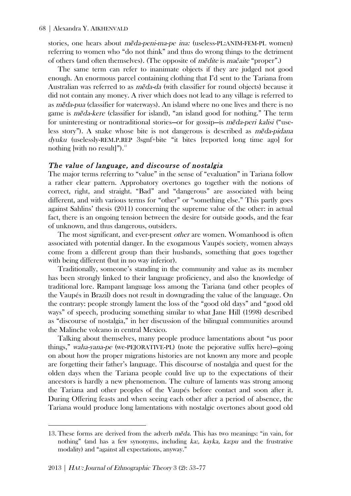stories, one hears about *meda-peni-ma-pe ina:* (useless-PL:ANIM-FEM-PL women) referring to women who "do not think" and thus do wrong things to the detriment of others (and often themselves). (The opposite of *m*edite is *mačaite* "proper".)

The same term can refer to inanimate objects if they are judged not good enough. An enormous parcel containing clothing that I'd sent to the Tariana from Australian was referred to as *meda-da* (with classifier for round objects) because it did not contain any money. A river which does not lead to any village is referred to as *meda-pua* (classifier for waterways). An island where no one lives and there is no game is *m*e<sup> $d$ </sup>a-kere (classifier for island), "an island good for nothing." The term for uninteresting or nontraditional stories—or for gossip—is *meda-peri kalisi* ("useless story"). A snake whose bite is not dangerous is described as *méda-pidana* dyuku (uselessly-REM.P.REP 3sgnf+bite "it bites [reported long time ago] for nothing [with no result]"). $^{13}$ 

#### The value of language, and discourse of nostalgia

The major terms referring to "value" in the sense of "evaluation" in Tariana follow a rather clear pattern. Approbatory overtones go together with the notions of correct, right, and straight. "Bad" and "dangerous" are associated with being different, and with various terms for "other" or "something else." This partly goes against Sahlins' thesis (2011) concerning the supreme value of the other: in actual fact, there is an ongoing tension between the desire for outside goods, and the fear of unknown, and thus dangerous, outsiders.

The most significant, and ever-present *other* are women. Womanhood is often associated with potential danger. In the exogamous Vaupés society, women always come from a different group than their husbands, something that goes together with being different (but in no way inferior).

Traditionally, someone's standing in the community and value as its member has been strongly linked to their language proficiency, and also the knowledge of traditional lore. Rampant language loss among the Tariana (and other peoples of the Vaupés in Brazil) does not result in downgrading the value of the language. On the contrary: people strongly lament the loss of the "good old days" and "good old ways" of speech, producing something similar to what Jane Hill (1998) described as "discourse of nostalgia," in her discussion of the bilingual communities around the Malinche volcano in central Mexico.

Talking about themselves, many people produce lamentations about "us poor things," waha-yana-pe (we-PEJORATIVE-PL) (note the pejorative suffix here)—going on about how the proper migrations histories are not known any more and people are forgetting their father's language. This discourse of nostalgia and quest for the olden days when the Tariana people could live up to the expectations of their ancestors is hardly a new phenomenon. The culture of laments was strong among the Tariana and other peoples of the Vaupés before contact and soon after it. During Offering feasts and when seeing each other after a period of absence, the Tariana would produce long lamentations with nostalgic overtones about good old

<sup>13.</sup> These forms are derived from the adverb *meda*. This has two meanings: "in vain, for nothing" (and has a few synonyms, including ka:, kayka, ka:pu and the frustrative modality) and "against all expectations, anyway."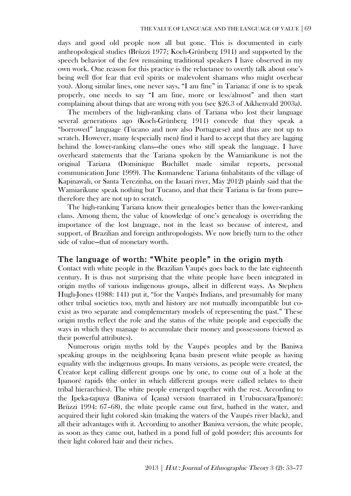days and good old people now all but gone. This is documented in early anthropological studies (Brüzzi 1977; Koch-Grünberg 1911) and supported by the speech behavior of the few remaining traditional speakers I have observed in my own work. One reason for this practice is the reluctance to overtly talk about one's being well (for fear that evil spirits or malevolent shamans who might overhear you). Along similar lines, one never says, "I am fine" in Tariana: if one is to speak properly, one needs to say "I am fine, more or less/almost" and then start complaining about things that are wrong with you (see §26.3 of Aikhenvald 2003a).

The members of the high-ranking clans of Tariana who lost their language several generations ago (Koch-Grünberg 1911) concede that they speak a "borrowed" language (Tucano and now also Portuguese) and thus are not up to scratch. However, many (especially men) find it hard to accept that they are lagging behind the lower-ranking clans—the ones who still speak the language. I have overheard statements that the Tariana spoken by the Wamiarikune is not the original Tariana (Dominique Buchillet made similar reports, personal communication June 1999). The Kumandene Tariana (inhabitants of the village of Kapinawali, or Santa Terezinha, on the Iauari river, May 2012) plainly said that the Wamiarikune speak nothing but Tucano, and that their Tariana is far from pure therefore they are not up to scratch.

The high-ranking Tariana know their genealogies better than the lower-ranking clans. Among them, the value of knowledge of one's genealogy is overriding the importance of the lost language, not in the least so because of interest, and support, of Brazilian and foreign anthropologists. We now briefly turn to the other side of value—that of monetary worth.

## The language of worth: "White people" in the origin myth

Contact with white people in the Brazilian Vaupés goes back to the late eighteenth century. It is thus not surprising that the white people have been integrated in origin myths of various indigenous groups, albeit in different ways. As Stephen Hugh-Jones (1988: 141) put it, "for the Vaupés Indians, and presumably for many other tribal societies too, myth and history are not mutually incompatible but coexist as two separate and complementary models of representing the past." These origin myths reflect the role and the status of the white people and especially the ways in which they manage to accumulate their money and possessions (viewed as their powerful attributes).

Numerous origin myths told by the Vaupés peoples and by the Baniwa speaking groups in the neighboring Içana basin present white people as having equality with the indigenous groups. In many versions, as people were created, the Creator kept calling different groups one by one, to come out of a hole at the Ipanoré rapids (the order in which different groups were called relates to their tribal hierarchies). The white people emerged together with the rest. According to the Ipeka-tapuya (Baniwa of Içana) version (narrated in Urubucuara/Ipanoré: Brüzzi 1994: 67–68), the white people came out first, bathed in the water, and acquired their light colored skin (making the waters of the Vaupés river black), and all their advantages with it. According to another Baniwa version, the white people, as soon as they came out, bathed in a pond full of gold powder; this accounts for their light colored hair and their riches.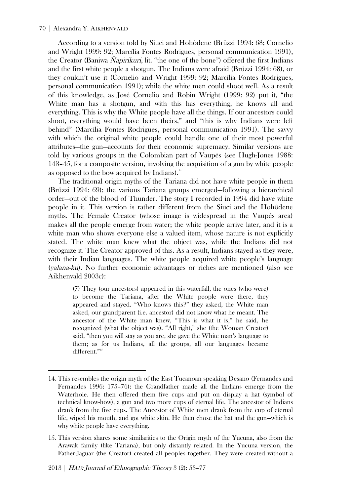According to a version told by Siuci and Hohôdene (Brüzzi 1994: 68; Cornelio and Wright 1999: 92; Marcília Fontes Rodrigues, personal communication 1991), the Creator (Baniwa Ñapirikuri, lit. "the one of the bone") offered the first Indians and the first white people a shotgun. The Indians were afraid (Brüzzi 1994: 68), or they couldn't use it (Cornelio and Wright 1999: 92; Marcília Fontes Rodrigues, personal communication 1991); while the white men could shoot well. As a result of this knowledge, as José Cornelio and Robin Wright (1999: 92) put it, "the White man has a shotgun, and with this has everything, he knows all and everything. This is why the White people have all the things. If our ancestors could shoot, everything would have been theirs," and "this is why Indians were left behind" (Marcília Fontes Rodrigues, personal communication 1991). The savvy with which the original white people could handle one of their most powerful attributes—the gun—accounts for their economic supremacy. Similar versions are told by various groups in the Colombian part of Vaupés (see Hugh-Jones 1988: 143–45, for a composite version, involving the acquisition of a gun by white people as opposed to the bow acquired by Indians).<sup>14</sup>

The traditional origin myths of the Tariana did not have white people in them (Brüzzi 1994: 69); the various Tariana groups emerged—following a hierarchical order—out of the blood of Thunder. The story I recorded in 1994 did have white people in it. This version is rather different from the Siuci and the Hohôdene myths. The Female Creator (whose image is widespread in the Vaupés area) makes all the people emerge from water; the white people arrive later, and it is a white man who shows everyone else a valued item, whose nature is not explicitly stated. The white man knew what the object was, while the Indians did not recognize it. The Creator approved of this. As a result, Indians stayed as they were, with their Indian languages. The white people acquired white people's language (yalana-ku). No further economic advantages or riches are mentioned (also see Aikhenvald 2003c):

(7) They (our ancestors) appeared in this waterfall, the ones (who were) to become the Tariana, after the White people were there, they appeared and stayed. "Who knows this?" they asked, the White man asked, our grandparent (i.e. ancestor) did not know what he meant. The ancestor of the White man knew, "This is what it is," he said, he recognized (what the object was). "All right," she (the Woman Creator) said, "then you will stay as you are, she gave the White man's language to them; as for us Indians, all the groups, all our languages became different." 15

<sup>14.</sup> This resembles the origin myth of the East Tucanoan speaking Desano (Fernandes and Fernandes 1996: 175–76): the Grandfather made all the Indians emerge from the Waterhole. He then offered them five cups and put on display a hat (symbol of technical know-how), a gun and two more cups of eternal life. The ancestor of Indians drank from the five cups. The Ancestor of White men drank from the cup of eternal life, wiped his mouth, and got white skin. He then chose the hat and the gun—which is why white people have everything.

<sup>15.</sup> This version shares some similarities to the Origin myth of the Yucuna, also from the Arawak family (like Tariana), but only distantly related. In the Yucuna version, the Father-Jaguar (the Creator) created all peoples together. They were created without a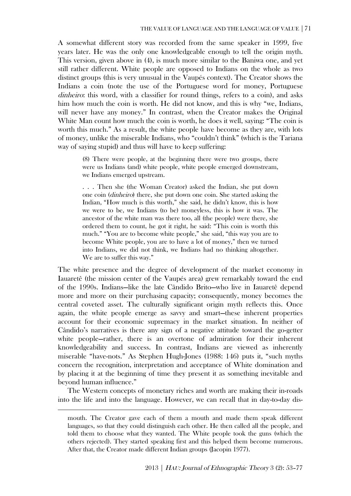A somewhat different story was recorded from the same speaker in 1999, five years later. He was the only one knowledgeable enough to tell the origin myth. This version, given above in (4), is much more similar to the Baniwa one, and yet still rather different. White people are opposed to Indians on the whole as two distinct groups (this is very unusual in the Vaupés context). The Creator shows the Indians a coin (note the use of the Portuguese word for money, Portuguese dinheiro: this word, with a classifier for round things, refers to a coin), and asks him how much the coin is worth. He did not know, and this is why "we, Indians, will never have any money." In contrast, when the Creator makes the Original White Man count how much the coin is worth, he does it well, saying: "The coin is worth this much." As a result, the white people have become as they are, with lots of money, unlike the miserable Indians, who "couldn't think" (which is the Tariana way of saying stupid) and thus will have to keep suffering:

(8) There were people, at the beginning there were two groups, there were us Indians (and) white people, white people emerged downstream, we Indians emerged upstream.

. . . Then she (the Woman Creator) asked the Indian, she put down one coin (dinheiro) there, she put down one coin. She started asking the Indian, "How much is this worth," she said, he didn't know, this is how we were to be, we Indians (to be) moneyless, this is how it was. The ancestor of the white man was there too, all (the people) were there, she ordered them to count, he got it right, he said: "This coin is worth this much." "You are to become white people," she said, "this way you are to become White people, you are to have a lot of money," then we turned into Indians, we did not think, we Indians had no thinking altogether. We are to suffer this way."

The white presence and the degree of development of the market economy in Iauaretê (the mission center of the Vaupés area) grew remarkably toward the end of the 1990s. Indians—like the late Cândido Brito—who live in Iauaretê depend more and more on their purchasing capacity; consequently, money becomes the central coveted asset. The culturally significant origin myth reflects this. Once again, the white people emerge as savvy and smart—these inherent properties account for their economic supremacy in the market situation. In neither of Cândido's narratives is there any sign of a negative attitude toward the go-getter white people—rather, there is an overtone of admiration for their inherent knowledgeability and success. In contrast, Indians are viewed as inherently miserable "have-nots." As Stephen Hugh-Jones (1988: 146) puts it, "such myths concern the recognition, interpretation and acceptance of White domination and by placing it at the beginning of time they present it as something inevitable and beyond human influence."

The Western concepts of monetary riches and worth are making their in-roads into the life and into the language. However, we can recall that in day-to-day dis-

mouth. The Creator gave each of them a mouth and made them speak different languages, so that they could distinguish each other. He then called all the people, and told them to choose what they wanted. The White people took the guns (which the others rejected). They started speaking first and this helped them become numerous. After that, the Creator made different Indian groups (Jacopin 1977).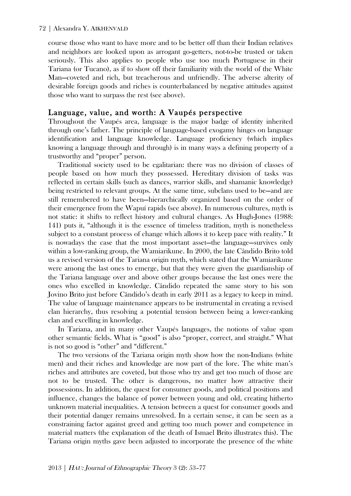course those who want to have more and to be better off than their Indian relatives and neighbors are looked upon as arrogant go-getters, not-to-be trusted or taken seriously. This also applies to people who use too much Portuguese in their Tariana (or Tucano), as if to show off their familiarity with the world of the White Man—coveted and rich, but treacherous and unfriendly. The adverse alterity of desirable foreign goods and riches is counterbalanced by negative attitudes against those who want to surpass the rest (see above).

#### Language, value, and worth: A Vaupés perspective

Throughout the Vaupés area, language is the major badge of identity inherited through one's father. The principle of language-based exogamy hinges on language identification and language knowledge. Language proficiency (which implies knowing a language through and through) is in many ways a defining property of a trustworthy and "proper" person.

Traditional society used to be egalitarian: there was no division of classes of people based on how much they possessed. Hereditary division of tasks was reflected in certain skills (such as dances, warrior skills, and shamanic knowledge) being restricted to relevant groups. At the same time, subclans used to be—and are still remembered to have been—hierarchically organized based on the order of their emergence from the Wapuí rapids (see above). In numerous cultures, myth is not static: it shifts to reflect history and cultural changes. As Hugh-Jones (1988: 141) puts it, "although it is the essence of timeless tradition, myth is nonetheless subject to a constant process of change which allows it to keep pace with reality." It is nowadays the case that the most important asset—the language—survives only within a low-ranking group, the Wamiarikune. In 2000, the late Cândido Brito told us a revised version of the Tariana origin myth, which stated that the Wamiarikune were among the last ones to emerge, but that they were given the guardianship of the Tariana language over and above other groups because the last ones were the ones who excelled in knowledge. Cândido repeated the same story to his son Jovino Brito just before Cândido's death in early 2011 as a legacy to keep in mind. The value of language maintenance appears to be instrumental in creating a revised clan hierarchy, thus resolving a potential tension between being a lower-ranking clan and excelling in knowledge.

In Tariana, and in many other Vaupés languages, the notions of value span other semantic fields. What is "good" is also "proper, correct, and straight." What is not so good is "other" and "different."

The two versions of the Tariana origin myth show how the non-Indians (white men) and their riches and knowledge are now part of the lore. The white man's riches and attributes are coveted, but those who try and get too much of those are not to be trusted. The other is dangerous, no matter how attractive their possessions. In addition, the quest for consumer goods, and political positions and influence, changes the balance of power between young and old, creating hitherto unknown material inequalities. A tension between a quest for consumer goods and their potential danger remains unresolved. In a certain sense, it can be seen as a constraining factor against greed and getting too much power and competence in material matters (the explanation of the death of Ismael Brito illustrates this). The Tariana origin myths gave been adjusted to incorporate the presence of the white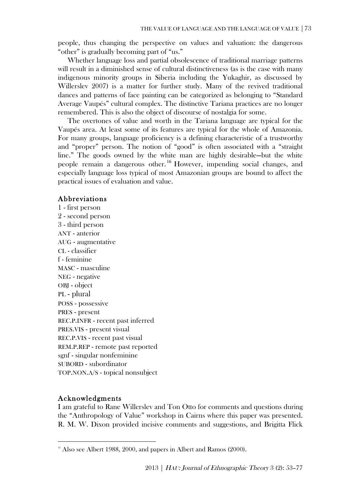people, thus changing the perspective on values and valuation: the dangerous "other" is gradually becoming part of "us."

Whether language loss and partial obsolescence of traditional marriage patterns will result in a diminished sense of cultural distinctiveness (as is the case with many indigenous minority groups in Siberia including the Yukaghir, as discussed by Willerslev 2007) is a matter for further study. Many of the revived traditional dances and patterns of face painting can be categorized as belonging to "Standard Average Vaupés" cultural complex. The distinctive Tariana practices are no longer remembered. This is also the object of discourse of nostalgia for some.

The overtones of value and worth in the Tariana language are typical for the Vaupés area. At least some of its features are typical for the whole of Amazonia. For many groups, language proficiency is a defining characteristic of a trustworthy and "proper" person. The notion of "good" is often associated with a "straight line." The goods owned by the white man are highly desirable—but the white people remain a dangerous other. <sup>16</sup> However, impending social changes, and especially language loss typical of most Amazonian groups are bound to affect the practical issues of evaluation and value.

#### Abbreviations

1 - first person 2 - second person 3 - third person ANT - anterior AUG - augmentative CL - classifier f - feminine MASC - masculine NEG - negative OBJ - object PL - plural POSS - possessive PRES - present REC.P.INFR - recent past inferred PRES.VIS - present visual REC.P.VIS - recent past visual REM.P.REP - remote past reported sgnf - singular nonfeminine SUBORD - subordinator TOP.NON.A/S - topical nonsubject

## Acknowledgments

 $\overline{a}$ 

I am grateful to Rane Willerslev and Ton Otto for comments and questions during the "Anthropology of Value" workshop in Cairns where this paper was presented. R. M. W. Dixon provided incisive comments and suggestions, and Brigitta Flick

 $16$  Also see Albert 1988, 2000, and papers in Albert and Ramos (2000).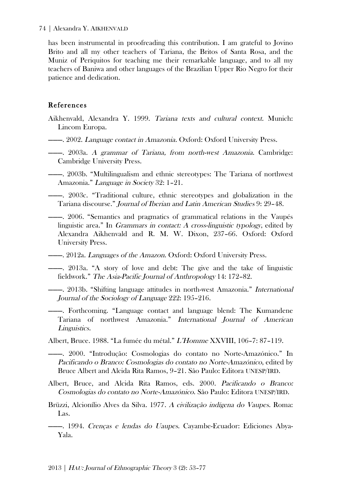has been instrumental in proofreading this contribution. I am grateful to Jovino Brito and all my other teachers of Tariana, the Britos of Santa Rosa, and the Muniz of Periquitos for teaching me their remarkable language, and to all my teachers of Baniwa and other languages of the Brazilian Upper Rio Negro for their patience and dedication.

## References

- Aikhenvald, Alexandra Y. 1999. Tariana texts and cultural context. Munich: Lincom Europa.
- ———. 2002. Language contact in Amazonia. Oxford: Oxford University Press.
- ———. 2003a. A grammar of Tariana, from north-west Amazonia. Cambridge: Cambridge University Press.
- ———. 2003b. "Multilingualism and ethnic stereotypes: The Tariana of northwest Amazonia." Language in Society 32: 1–21.
- ———. 2003c. "Traditional culture, ethnic stereotypes and globalization in the Tariana discourse." Journal of Iberian and Latin American Studies 9: 29–48.
- ———. 2006. "Semantics and pragmatics of grammatical relations in the Vaupés linguistic area." In Grammars in contact: A cross-linguistic typology, edited by Alexandra Aikhenvald and R. M. W. Dixon, 237–66. Oxford: Oxford University Press.
- **-**——. 2012a. *Languages of the Amazon*. Oxford: Oxford University Press.
- ———. 2013a. "A story of love and debt: The give and the take of linguistic fieldwork." The Asia-Pacific Journal of Anthropology 14: 172–82.
- ———. 2013b. "Shifting language attitudes in north-west Amazonia." International Journal of the Sociology of Language 222: 195–216.
- ———. Forthcoming. "Language contact and language blend: The Kumandene Tariana of northwest Amazonia." International Journal of American Linguistics.
- Albert, Bruce. 1988. "La fumée du métal." L'Homme XXVIII, 106–7: 87–119.
- ———. 2000. "Introdução: Cosmologias do contato no Norte-Amazónico." In Pacificando o Branco: Cosmologias do contato no Norte-Amazónico, edited by Bruce Albert and Alcida Rita Ramos, 9–21. São Paulo: Editora UNESP/IRD.
- Albert, Bruce, and Alcida Rita Ramos, eds. 2000. Pacificando o Branco: Cosmologias do contato no Norte-Amazónico. São Paulo: Editora UNESP/IRD.
- Brüzzi, Alcionílio Alves da Silva. 1977. A civilização indígena do Vaupes. Roma: Las.
- ———. 1994. Crenças e lendas do Uaupes. Cayambe-Ecuador: Ediciones Abya-Yala.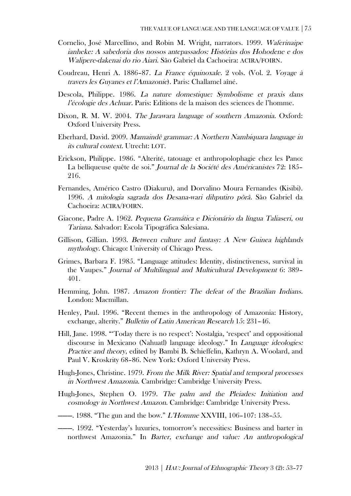- Cornelio, José Marcellino, and Robin M. Wright, narrators. 1999. Waferinaipe ianheke: A sabedoria dos nossos antepassados: Histórias dos Hohodene e dos Walipere-dakenai do rio Aiari. São Gabriel da Cachoeira: ACIRA/FOIRN.
- Coudreau, Henri A. 1886–87. La France équinoxale. 2 vols. (Vol. 2. Voyage à travers les Guyanes et l'Amazonie). Paris: Challamel aîné.
- Descola, Philippe. 1986. La nature domestique: Symbolisme et praxis dans l'écologie des Achuar. Paris: Editions de la maison des sciences de l'homme.
- Dixon, R. M. W. 2004. The Jarawara language of southern Amazonia. Oxford: Oxford University Press.
- Eberhard, David. 2009. Mamaindê grammar: A Northern Nambiquara language in its cultural context. Utrecht: LOT.
- Erickson, Philippe. 1986. "Alterité, tatouage et anthropolophagie chez les Pano: La belliqueuse quête de soi." Journal de la Société des Américanistes 72: 185– 216.
- Fernandes, Américo Castro (Diakuru), and Dorvalino Moura Fernandes (Kisibi). 1996. A mitologia sagrada dos Desana-wari dihputiro põrã. São Gabriel da Cachoeira: ACIRA/FOIRN.
- Giacone, Padre A. 1962. Pequena Gramática e Dicionário da língua Taliaseri, ou Tariana. Salvador: Escola Tipográfica Salesiana.
- Gillison, Gillian. 1993. Between culture and fantasy: A New Guinea highlands mythology. Chicago: University of Chicago Press.
- Grimes, Barbara F. 1985. "Language attitudes: Identity, distinctiveness, survival in the Vaupes." Journal of Multilingual and Multicultural Development 6: 389– 401.
- Hemming, John. 1987. Amazon frontier: The defeat of the Brazilian Indians. London: Macmillan.
- Henley, Paul. 1996. "Recent themes in the anthropology of Amazonia: History, exchange, alterity." Bulletin of Latin American Research 15: 231–46.
- Hill, Jane. 1998. "'Today there is no respect': Nostalgia, 'respect' and oppositional discourse in Mexicano (Nahuatl) language ideology." In Language ideologies: Practice and theory, edited by Bambi B. Schieffelin, Kathryn A. Woolard, and Paul V. Kroskrity 68–86. New York: Oxford University Press.
- Hugh-Jones, Christine. 1979. From the Milk River: Spatial and temporal processes in Northwest Amazonia. Cambridge: Cambridge University Press.
- Hugh-Jones, Stephen O. 1979. The palm and the Pleiades: Initiation and cosmology in Northwest Amazon. Cambridge: Cambridge University Press.
- ———. 1988. "The gun and the bow." *L'Homme XXVIII*, 106-107: 138-55.
- ———. 1992. "Yesterday's luxuries, tomorrow's necessities: Business and barter in northwest Amazonia." In Barter, exchange and value: An anthropological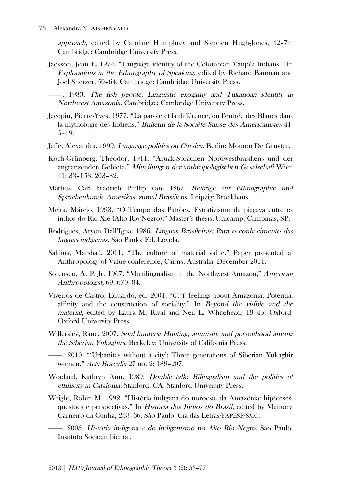approach, edited by Caroline Humphrey and Stephen Hugh-Jones, 42–74. Cambridge: Cambridge University Press.

Jackson, Jean E. 1974. "Language identity of the Colombian Vaupés Indians." In Explorations in the Ethnography of Speaking, edited by Richard Bauman and Joel Sherzer, 50–64. Cambridge: Cambridge University Press.

———. 1983. The fish people: Linguistic exogamy and Tukanoan identity in Northwest Amazonia. Cambridge: Cambridge University Press.

- Jacopin, Pierre-Yves. 1977. "La parole et la différence, ou l'entrée des Blancs dans la mythologie des Indiens." Bulletin de la Société Suisse des Américanistes 41: 5–19.
- Jaffe, Alexandra. 1999. Language politics on Corsica. Berlin: Mouton De Gruyter.
- Koch-Grünberg, Theodor. 1911. "Aruak-Sprachen Nordwestbrasiliens und der angrenzenden Gebiete." Mitteilungen der anthropologischen Geselschaft Wien 41: 33–153, 203–82.
- Martius, Carl Fredrich Phillip von. 1867. Beiträge zur Ethnographie und Sprachenkunde Amerikas, zumal Brasiliens. Leipzig: Brockhaus.
- Meira, Márcio. 1993. "O Tempo dos Patrões. Extrativismo da piaçava entre os índios do Rio Xié (Alto Rio Negro)." Master's thesis, Unicamp. Campinas, SP.
- Rodrigues, Aryon Dall'Igna. 1986. Línguas Brasileiras: Para o conhecimento das línguas indígenas. São Paulo: Ed. Loyola.
- Sahlins, Marshall. 2011. "The culture of material value." Paper presented at Anthropology of Value conference, Cairns, Australia, December 2011.
- Sorensen, A. P. Jr. 1967. "Multilingualism in the Northwest Amazon," American Anthropologist, 69: 670–84.
- Viveiros de Castro, Eduardo, ed. 2001. "GUT feelings about Amazonia: Potential affinity and the construction of sociality." In Beyond the visible and the material, edited by Laura M. Rival and Neil L. Whitehead, 19–45. Oxford: Oxford University Press.
- Willerslev, Rane. 2007. Soul hunters: Hunting, animism, and personhood among the Siberian Yukaghirs. Berkeley: University of California Press.
- ———. 2010. "'Urbanites without a city': Three generations of Siberian Yukaghir women." Acta Borealia 27 no. 2: 189–207.
- Woolard, Kathryn Ann. 1989. Double talk: Bilingualism and the politics of ethnicity in Catalonia. Stanford, CA: Stanford University Press.
- Wright, Robin M. 1992. "História indígena do noroeste da Amazônia: hipóteses, questões e perspectivas." In História dos Índios do Brasil, edited by Manuela Carneiro da Cunha, 253–66. São Paulo: Cia das Letras/FAPESP/SMC.

———. 2005. História indígena e do indigenismo no Alto Rio Negro. São Paulo: Instituto Socioambiental.